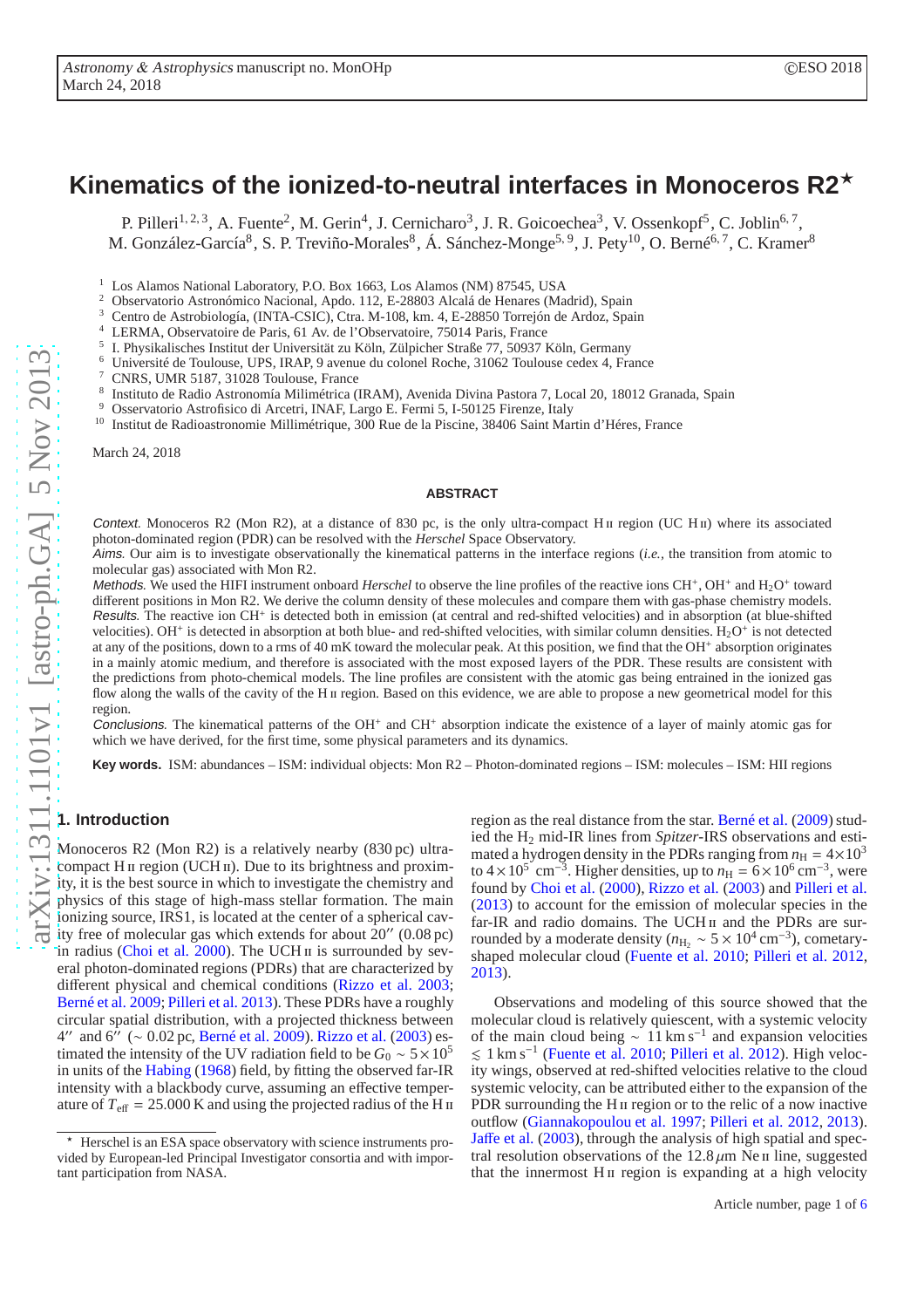# **Kinematics of the ionized-to-neutral interfaces in Monoceros R2**<sup>⋆</sup>

P. Pilleri<sup>1, 2, 3</sup>, A. Fuente<sup>2</sup>, M. Gerin<sup>4</sup>, J. Cernicharo<sup>3</sup>, J. R. Goicoechea<sup>3</sup>, V. Ossenkopf<sup>5</sup>, C. Joblin<sup>6, 7</sup>, M. González-García<sup>8</sup>, S. P. Treviño-Morales<sup>8</sup>, Á. Sánchez-Monge<sup>5, 9</sup>, J. Pety<sup>10</sup>, O. Berné<sup>6, 7</sup>, C. Kramer<sup>8</sup>

<sup>1</sup> Los Alamos National Laboratory, P.O. Box 1663, Los Alamos (NM) 87545, USA<br><sup>2</sup> Okay utational Astronómica Nacional Andre 112, E. 28803, Alaskí de University Ma

<sup>2</sup> Observatorio Astronómico Nacional, Apdo. 112, E-28803 Alcalá de Henares (Madrid), Spain

<sup>3</sup> Centro de Astrobiología, (INTA-CSIC), Ctra. M-108, km. 4, E-28850 Torrejón de Ardoz, Spain

LERMA, Observatoire de Paris, 61 Av. de l'Observatoire, 75014 Paris, France

- 5 I. Physikalisches Institut der Universität zu Köln, Zülpicher Straße 77, 50937 Köln, Germany
- <sup>6</sup> Université de Toulouse, UPS, IRAP, 9 avenue du colonel Roche, 31062 Toulouse cedex 4, France

<sup>7</sup> CNRS, UMR 5187, 31028 Toulouse, France<br><sup>8</sup> Instituto de Radio Astronomía Milimétrica (

Instituto de Radio Astronomía Milimétrica (IRAM), Avenida Divina Pastora 7, Local 20, 18012 Granada, Spain

<sup>9</sup> Osservatorio Astrofisico di Arcetri, INAF, Largo E. Fermi 5, I-50125 Firenze, Italy

<sup>10</sup> Institut de Radioastronomie Millimétrique, 300 Rue de la Piscine, 38406 Saint Martin d'Héres, France

March 24, 2018

#### **ABSTRACT**

Context. Monoceros R2 (Mon R2), at a distance of 830 pc, is the only ultra-compact H  $\mu$  region (UC H $\mu$ ) where its associated photon-dominated region (PDR) can be resolved with the *Herschel* Space Observatory.

Aims. Our aim is to investigate observationally the kinematical patterns in the interface regions (*i.e.,* the transition from atomic to molecular gas) associated with Mon R2.

Methods. We used the HIFI instrument onboard *Herschel* to observe the line profiles of the reactive ions CH<sup>+</sup>, OH<sup>+</sup> and H<sub>2</sub>O<sup>+</sup> toward different positions in Mon R2. We derive the column density of these molecules and compare them with gas-phase chemistry models. Results. The reactive ion CH<sup>+</sup> Results. The reactive ion CH<sup>+</sup> is detected both in emission (at central and red-shifted velocities) and in absorption (at blue-shifted velocities). OH<sup>+</sup> is detected in absorption at both blue- and red-shifted velocities, with similar column densities.  $H_2O^+$  is not detected at any of the positions, down to a rms of 40 mK toward the molecular peak. At this position, we find that the OH<sup>+</sup> absorption originates in a mainly atomic medium, and therefore is associated with the most exposed layers of the PDR. These results are consistent with the predictions from photo-chemical models. The line profiles are consistent with the atomic gas being entrained in the ionized gas flow along the walls of the cavity of the H<sub>II</sub> region. Based on this evidence, we are able to propose a new geometrical model for this region.

Conclusions. The kinematical patterns of the  $OH<sup>+</sup>$  and  $CH<sup>+</sup>$ Conclusions. The kinematical patterns of the  $OH^+$  and  $CH^+$  absorption indicate the existence of a layer of mainly atomic gas for which we have derived, for the first time, some physical parameters and its dynamics.

**Key words.** ISM: abundances – ISM: individual objects: Mon R2 – Photon-dominated regions – ISM: molecules – ISM: HII regions

## **1. Introduction**

Monoceros R2 (Mon R2) is a relatively nearby (830 pc) ultracompact H  $\scriptstyle\rm II$  region (UCH  $\scriptstyle\rm II$ ). Due to its brightness and proximity, it is the best source in which to investigate the chemistry and physics of this stage of high-mass stellar formation. The main ionizing source, IRS1, is located at the center of a spherical cavity free of molecular gas which extends for about  $20''$  (0.08 pc) in radius (Choi et al.  $2000$ ). The UCH  $\pi$  is surrounded by several photon-dominated regions (PDRs) that are characterized by different physical and chemical conditions [\(Rizzo et al. 2003](#page-5-1); [Berné et al. 2009;](#page-5-2) [Pilleri et al. 2013\)](#page-5-3). These PDRs have a roughly circular spatial distribution, with a projected thickness between 4″ and  $6\degree$  (~ 0.02 pc, [Berné et al. 2009](#page-5-2)). [Rizzo et al.](#page-5-1) [\(2003\)](#page-5-1) estimated the intensity of the UV radiation field to be  $G_0 \sim 5 \times 10^5$ in units of the [Habing](#page-5-4) [\(1968\)](#page-5-4) field, by fitting the observed far-IR intensity with a blackbody curve, assuming an effective temperature of  $T_{\text{eff}} = 25.000 \text{ K}$  and using the projected radius of the H  $\text{II}$ 

region as the real distance from the star. [Berné et al.](#page-5-2) [\(2009](#page-5-2)) studied the H<sup>2</sup> mid-IR lines from *Spitzer*-IRS observations and estimated a hydrogen density in the PDRs ranging from  $n_H = 4 \times 10^3$ to  $4 \times 10^5$  cm<sup>-3</sup>. Higher densities, up to  $n_{\rm H} = 6 \times 10^6$  cm<sup>-3</sup>, were found by [Choi et al.](#page-5-0) [\(2000](#page-5-0)), [Rizzo et al.](#page-5-1) [\(2003](#page-5-1)) and [Pilleri et al.](#page-5-3) [\(2013\)](#page-5-3) to account for the emission of molecular species in the far-IR and radio domains. The UCH II and the PDRs are surrounded by a moderate density ( $n_{\text{H}_2} \sim 5 \times 10^4 \text{ cm}^{-3}$ ), cometaryshaped molecular cloud [\(Fuente et al. 2010;](#page-5-5) [Pilleri et al. 2012](#page-5-6), [2013\)](#page-5-3).

Observations and modeling of this source showed that the molecular cloud is relatively quiescent, with a systemic velocity of the main cloud being  $\sim 11 \text{ km s}^{-1}$  and expansion velocities . 1 km s<sup>−</sup><sup>1</sup> [\(Fuente et al. 2010](#page-5-5); [Pilleri et al. 2012](#page-5-6)). High velocity wings, observed at red-shifted velocities relative to the cloud systemic velocity, can be attributed either to the expansion of the PDR surrounding the H<sub>II</sub> region or to the relic of a now inactive outflow [\(Giannakopoulou et al. 1997;](#page-5-7) [Pilleri et al. 2012,](#page-5-6) [2013\)](#page-5-3). Jaff[e et al.](#page-5-8) [\(2003\)](#page-5-8), through the analysis of high spatial and spectral resolution observations of the  $12.8 \mu m$  Ne  $\mu$  line, suggested that the innermost H<sub>II</sub> region is expanding at a high velocity

Herschel is an ESA space observatory with science instruments provided by European-led Principal Investigator consortia and with important participation from NASA.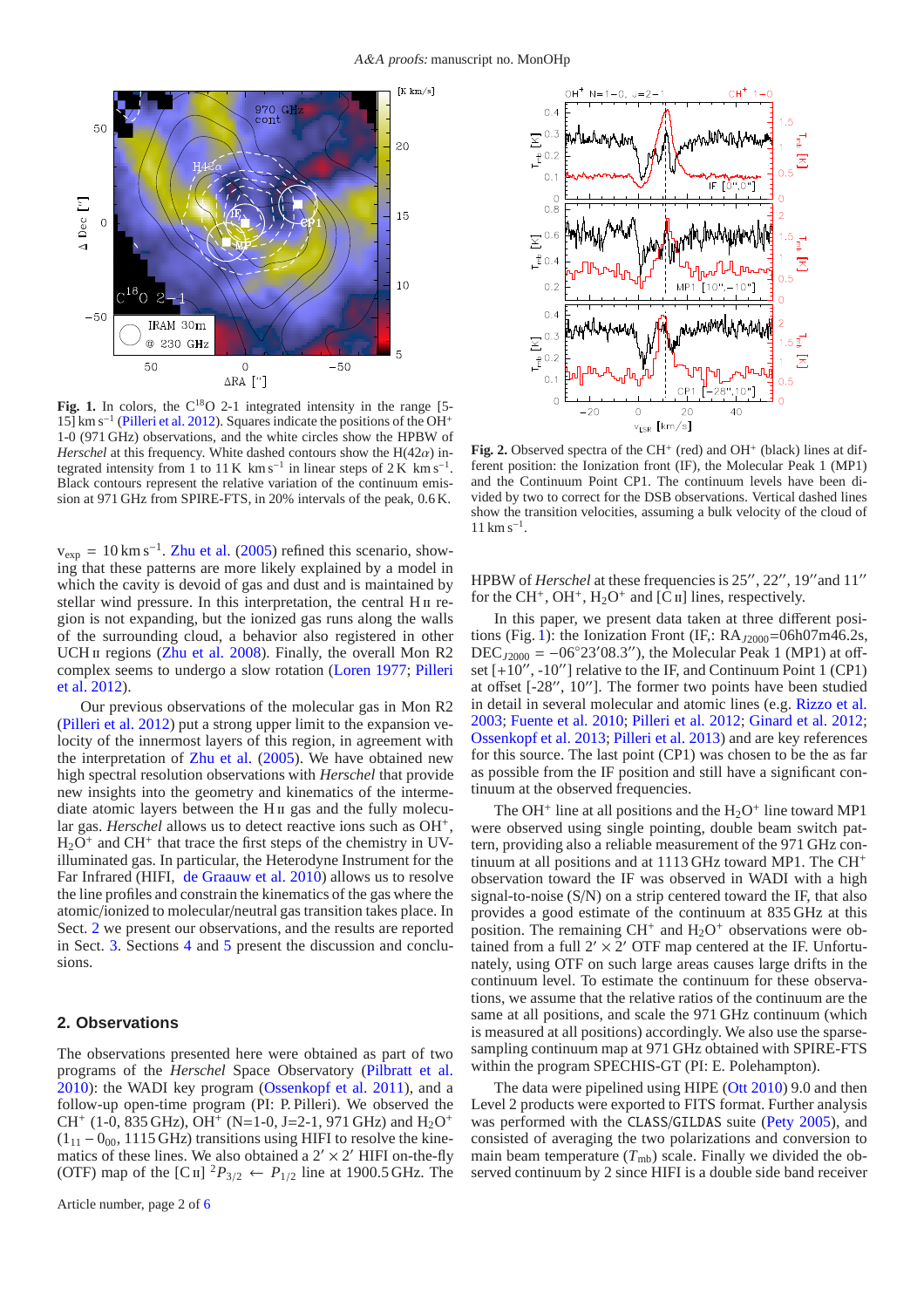

<span id="page-1-1"></span>Fig. 1. In colors, the C<sup>18</sup>O 2-1 integrated intensity in the range [5-15] km s<sup>-1</sup> [\(Pilleri et al. 2012\)](#page-5-6). Squares indicate the positions of the OH<sup>+</sup> 1-0 (971 GHz) observations, and the white circles show the HPBW of *Herschel* at this frequency. White dashed contours show the  $H(42\alpha)$  integrated intensity from 1 to 11 K km s<sup>-1</sup> in linear steps of 2 K km s<sup>-1</sup>. Black contours represent the relative variation of the continuum emission at 971 GHz from SPIRE-FTS, in 20% intervals of the peak, 0.6 K.

 $v_{\rm exp} = 10 \,\rm km\,s^{-1}$ . [Zhu et al.](#page-5-9) [\(2005](#page-5-9)) refined this scenario, showing that these patterns are more likely explained by a model in which the cavity is devoid of gas and dust and is maintained by stellar wind pressure. In this interpretation, the central  $H \text{II}$  region is not expanding, but the ionized gas runs along the walls of the surrounding cloud, a behavior also registered in other UCH II regions [\(Zhu et al. 2008](#page-5-10)). Finally, the overall Mon R2 com[plex seems to undergo a slow rotation](#page-5-6) [\(Loren 1977](#page-5-11)[;](#page-5-6) Pilleri et al. [2012\)](#page-5-6).

Our previous observations of the molecular gas in Mon R2 [\(Pilleri et al. 2012](#page-5-6)) put a strong upper limit to the expansion velocity of the innermost layers of this region, in agreement with the interpretation of [Zhu et al.](#page-5-9) [\(2005\)](#page-5-9). We have obtained new high spectral resolution observations with *Herschel* that provide new insights into the geometry and kinematics of the intermediate atomic layers between the H<sub>II</sub> gas and the fully molecular gas. *Herschel* allows us to detect reactive ions such as OH<sup>+</sup>,  $H_2O^+$  and CH<sup>+</sup> that trace the first steps of the chemistry in UVilluminated gas. In particular, the Heterodyne Instrument for the Far Infrared (HIFI, [de Graauw et al. 2010](#page-5-12)) allows us to resolve the line profiles and constrain the kinematics of the gas where the atomic/ionized to molecular/neutral gas transition takes place. In Sect. [2](#page-1-0) we present our observations, and the results are reported in Sect. [3.](#page-2-0) Sections [4](#page-2-1) and [5](#page-4-0) present the discussion and conclusions.

#### <span id="page-1-0"></span>**2. Observations**

The observations presented here were obtained as part of two programs of the *Herschel* Space Observatory [\(Pilbratt et al.](#page-5-13) [2010](#page-5-13)): the WADI key program [\(Ossenkopf et al. 2011](#page-5-14)), and a follow-up open-time program (PI: P. Pilleri). We observed the CH<sup>+</sup> (1-0, 835 GHz), OH<sup>+</sup> (N=1-0, J=2-1, 971 GHz) and H<sub>2</sub>O<sup>+</sup>  $(1_{11} - 0_{00}, 1115 \text{ GHz})$  transitions using HIFI to resolve the kinematics of these lines. We also obtained a  $2' \times 2'$  HIFI on-the-fly (OTF) map of the [C<sub>II</sub>] <sup>2</sup> $P_{3/2} \leftarrow P_{1/2}$  line at 1900.5 GHz. The



<span id="page-1-2"></span>Fig. 2. Observed spectra of the CH<sup>+</sup> (red) and OH<sup>+</sup> (black) lines at different position: the Ionization front (IF), the Molecular Peak 1 (MP1) and the Continuum Point CP1. The continuum levels have been divided by two to correct for the DSB observations. Vertical dashed lines show the transition velocities, assuming a bulk velocity of the cloud of 11 km s<sup>−</sup><sup>1</sup> .

HPBW of *Herschel* at these frequencies is 25′′, 22′′, 19′′and 11′′ for the CH<sup>+</sup>, OH<sup>+</sup>, H<sub>2</sub>O<sup>+</sup> and [C<sub>II</sub>] lines, respectively.

In this paper, we present data taken at three different posi-tions (Fig. [1\)](#page-1-1): the Ionization Front (IF,: RA<sub>J2000</sub>=06h07m46.2s,  $DEC<sub>J2000</sub> = -06°23'08.3'$ , the Molecular Peak 1 (MP1) at offset  $[+10^{\prime\prime}, -10^{\prime\prime}]$  relative to the IF, and Continuum Point 1 (CP1) at offset  $[-28$ ",  $10$ "]. The former two points have been studied in detail in several molecular and atomic lines (e.g. [Rizzo et al.](#page-5-1) [2003;](#page-5-1) [Fuente et al. 2010;](#page-5-5) [Pilleri et al. 2012](#page-5-6); [Ginard et al. 2012;](#page-5-15) [Ossenkopf et al. 2013](#page-5-16); [Pilleri et al. 2013\)](#page-5-3) and are key references for this source. The last point (CP1) was chosen to be the as far as possible from the IF position and still have a significant continuum at the observed frequencies.

The OH<sup>+</sup> line at all positions and the  $H_2O^+$  line toward MP1 were observed using single pointing, double beam switch pattern, providing also a reliable measurement of the 971 GHz continuum at all positions and at 1113 GHz toward MP1. The CH<sup>+</sup> observation toward the IF was observed in WADI with a high signal-to-noise (S/N) on a strip centered toward the IF, that also provides a good estimate of the continuum at 835 GHz at this position. The remaining  $CH^+$  and  $H_2O^+$  observations were obtained from a full  $2' \times 2'$  OTF map centered at the IF. Unfortunately, using OTF on such large areas causes large drifts in the continuum level. To estimate the continuum for these observations, we assume that the relative ratios of the continuum are the same at all positions, and scale the 971 GHz continuum (which is measured at all positions) accordingly. We also use the sparsesampling continuum map at 971 GHz obtained with SPIRE-FTS within the program SPECHIS-GT (PI: E. Polehampton).

The data were pipelined using HIPE [\(Ott 2010](#page-5-17)) 9.0 and then Level 2 products were exported to FITS format. Further analysis was performed with the CLASS/GILDAS suite [\(Pety 2005\)](#page-5-18), and consisted of averaging the two polarizations and conversion to main beam temperature  $(T_{\text{mb}})$  scale. Finally we divided the observed continuum by 2 since HIFI is a double side band receiver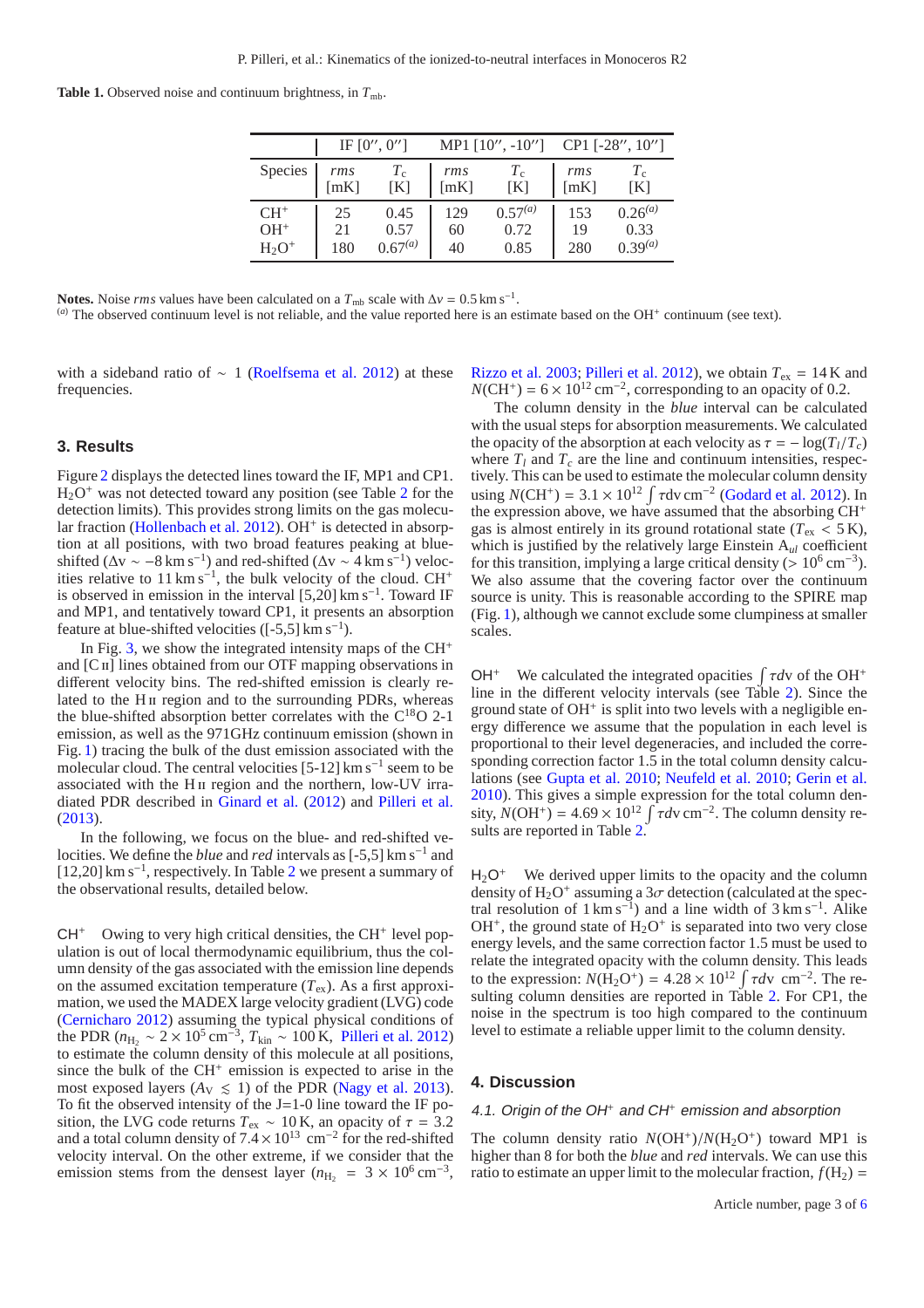**Table 1.** Observed noise and continuum brightness, in  $T_{\text{mb}}$ .

|          | IF $[0'', 0'']$ |              | MP1 $[10", -10'']$ CP1 $[-28", 10'']$ |              |      |              |
|----------|-----------------|--------------|---------------------------------------|--------------|------|--------------|
| Species  | rms             | $T_{\rm c}$  | rms                                   | $T_{\rm c}$  | rms  | $T_c$        |
|          | [mK]            | [K]          | [mK]                                  | [K]          | [mK] | [K]          |
| $CH+$    | 25              | 0.45         | 129                                   | $0.57^{(a)}$ | 153  | $0.26^{(a)}$ |
| $OH+$    | 21              | 0.57         | 60                                    | 0.72         | 19   | 0.33         |
| $H_2O^+$ | 180             | $0.67^{(a)}$ | 40                                    | 0.85         | 280  | $0.39^{(a)}$ |

**Notes.** Noise *rms* values have been calculated on a  $T_{\text{mb}}$  scale with  $\Delta v = 0.5 \text{ km s}^{-1}$ .

 $(a)$  The observed continuum level is not reliable, and the value reported here is an estimate based on the OH<sup>+</sup> continuum (see text).

with a sideband ratio of  $\sim$  1 [\(Roelfsema et al. 2012\)](#page-5-19) at these frequencies.

#### <span id="page-2-0"></span>**3. Results**

Figure [2](#page-1-2) displays the detected lines toward the IF, MP1 and CP1.  $H<sub>2</sub>O<sup>+</sup>$  $H<sub>2</sub>O<sup>+</sup>$  $H<sub>2</sub>O<sup>+</sup>$  was not detected toward any position (see Table 2 for the detection limits). This provides strong limits on the gas molecu-lar fraction [\(Hollenbach et al. 2012](#page-5-20)). OH<sup>+</sup> is detected in absorption at all positions, with two broad features peaking at blueshifted ( $\Delta v \sim -8$  km s<sup>-1</sup>) and red-shifted ( $\Delta v \sim 4$  km s<sup>-1</sup>) velocities relative to 11 km s<sup>-1</sup>, the bulk velocity of the cloud. CH<sup>+</sup> is observed in emission in the interval  $[5,20]$  km s<sup>-1</sup>. Toward IF and MP1, and tentatively toward CP1, it presents an absorption feature at blue-shifted velocities  $([-5,5] \text{ km s}^{-1})$ .

In Fig. [3,](#page-3-1) we show the integrated intensity maps of the  $CH<sup>+</sup>$ and  $[C\pi]$  lines obtained from our OTF mapping observations in different velocity bins. The red-shifted emission is clearly related to the H<sub>II</sub> region and to the surrounding PDRs, whereas the blue-shifted absorption better correlates with the C<sup>18</sup>O 2-1 emission, as well as the 971GHz continuum emission (shown in Fig. [1\)](#page-1-1) tracing the bulk of the dust emission associated with the molecular cloud. The central velocities [5-12] km s<sup>-1</sup> seem to be associated with the H<sub>II</sub> region and the northern, low-UV irradiated PDR described in [Ginard et al.](#page-5-15) [\(2012](#page-5-15)) and [Pilleri et al.](#page-5-3) [\(2013](#page-5-3)).

In the following, we focus on the blue- and red-shifted velocities. We define the *blue* and *red* intervals as [-5,5] km s−<sup>1</sup> and [1[2](#page-3-0),20] km s<sup>-1</sup>, respectively. In Table 2 we present a summary of the observational results, detailed below.

 $CH<sup>+</sup>$  Owing to very high critical densities, the CH<sup>+</sup> level population is out of local thermodynamic equilibrium, thus the column density of the gas associated with the emission line depends on the assumed excitation temperature  $(T_{ex})$ . As a first approximation, we used the MADEX large velocity gradient (LVG) code [\(Cernicharo 2012](#page-5-21)) assuming the typical physical conditions of the PDR ( $n_{\text{H}_2}$  ~ 2 × 10<sup>5</sup> cm<sup>−3</sup>,  $T_{\text{kin}}$  ~ 100 K, [Pilleri et al. 2012\)](#page-5-6) to estimate the column density of this molecule at all positions, since the bulk of the CH<sup>+</sup> emission is expected to arise in the most exposed layers  $(A_V \le 1)$  of the PDR [\(Nagy et al. 2013](#page-5-22)). To fit the observed intensity of the  $J=1-0$  line toward the IF position, the LVG code returns  $T_{ex} \sim 10$  K, an opacity of  $\tau = 3.2$ and a total column density of  $7.4 \times 10^{13}$  cm<sup>-2</sup> for the red-shifted velocity interval. On the other extreme, if we consider that the emission stems from the densest layer ( $n_{\text{H}_2}$  = 3 × 10<sup>6</sup> cm<sup>-3</sup>,

[Rizzo et al. 2003;](#page-5-1) [Pilleri et al. 2012\)](#page-5-6), we obtain  $T_{ex} = 14$  K and  $N(CH^+) = 6 \times 10^{12}$  cm<sup>-2</sup>, corresponding to an opacity of 0.2.

The column density in the *blue* interval can be calculated with the usual steps for absorption measurements. We calculated the opacity of the absorption at each velocity as  $\tau = -\log(T_l/T_c)$ where  $T_l$  and  $T_c$  are the line and continuum intensities, respectively. This can be used to estimate the molecular column density using  $N(CH^+) = 3.1 \times 10^{12} \int \tau dv \, cm^{-2}$  [\(Godard et al. 2012\)](#page-5-23). In the expression above, we have assumed that the absorbing CH<sup>+</sup> gas is almost entirely in its ground rotational state ( $T_{\text{ex}} < 5 \text{ K}$ ), which is justified by the relatively large Einstein A*ul* coefficient for this transition, implying a large critical density (>  $10^6 \text{ cm}^{-3}$ ). We also assume that the covering factor over the continuum source is unity. This is reasonable according to the SPIRE map (Fig. [1\)](#page-1-1), although we cannot exclude some clumpiness at smaller scales.

OH<sup>+</sup> We calculated the integrated opacities  $\int \tau dv$  of the OH<sup>+</sup> line in the different velocity intervals (see Table [2\)](#page-3-0). Since the ground state of OH<sup>+</sup> is split into two levels with a negligible energy difference we assume that the population in each level is proportional to their level degeneracies, and included the corresponding correction factor 1.5 in the total column density calculations (see [Gupta et al. 2010;](#page-5-24) [Neufeld et al. 2010](#page-5-25); [Gerin et al.](#page-5-26) [2010\)](#page-5-26). This gives a simple expression for the total column density,  $N(OH^+) = 4.69 \times 10^{12} \int \tau d\tau$  cm<sup>-2</sup>. The column density re-sults are reported in Table [2.](#page-3-0)

 $H_2O^+$  We derived upper limits to the opacity and the column density of  $H_2O^+$  assuming a  $3\sigma$  detection (calculated at the spectral resolution of  $1 \text{ km s}^{-1}$ ) and a line width of  $3 \text{ km s}^{-1}$ . Alike  $OH<sup>+</sup>$ , the ground state of  $H<sub>2</sub>O<sup>+</sup>$  is separated into two very close energy levels, and the same correction factor 1.5 must be used to relate the integrated opacity with the column density. This leads to the expression:  $N(\text{H}_2\text{O}^+) = 4.28 \times 10^{12} \int \tau d\text{v cm}^{-2}$ . The re-sulting column densities are reported in Table [2.](#page-3-0) For CP1, the noise in the spectrum is too high compared to the continuum level to estimate a reliable upper limit to the column density.

#### <span id="page-2-1"></span>**4. Discussion**

# 4.1. Origin of the OH<sup>+</sup> and CH<sup>+</sup> emission and absorption

The column density ratio  $N(OH^+)/N(H_2O^+)$  toward MP1 is higher than 8 for both the *blue* and *red* intervals. We can use this ratio to estimate an upper limit to the molecular fraction,  $f(H_2)$  =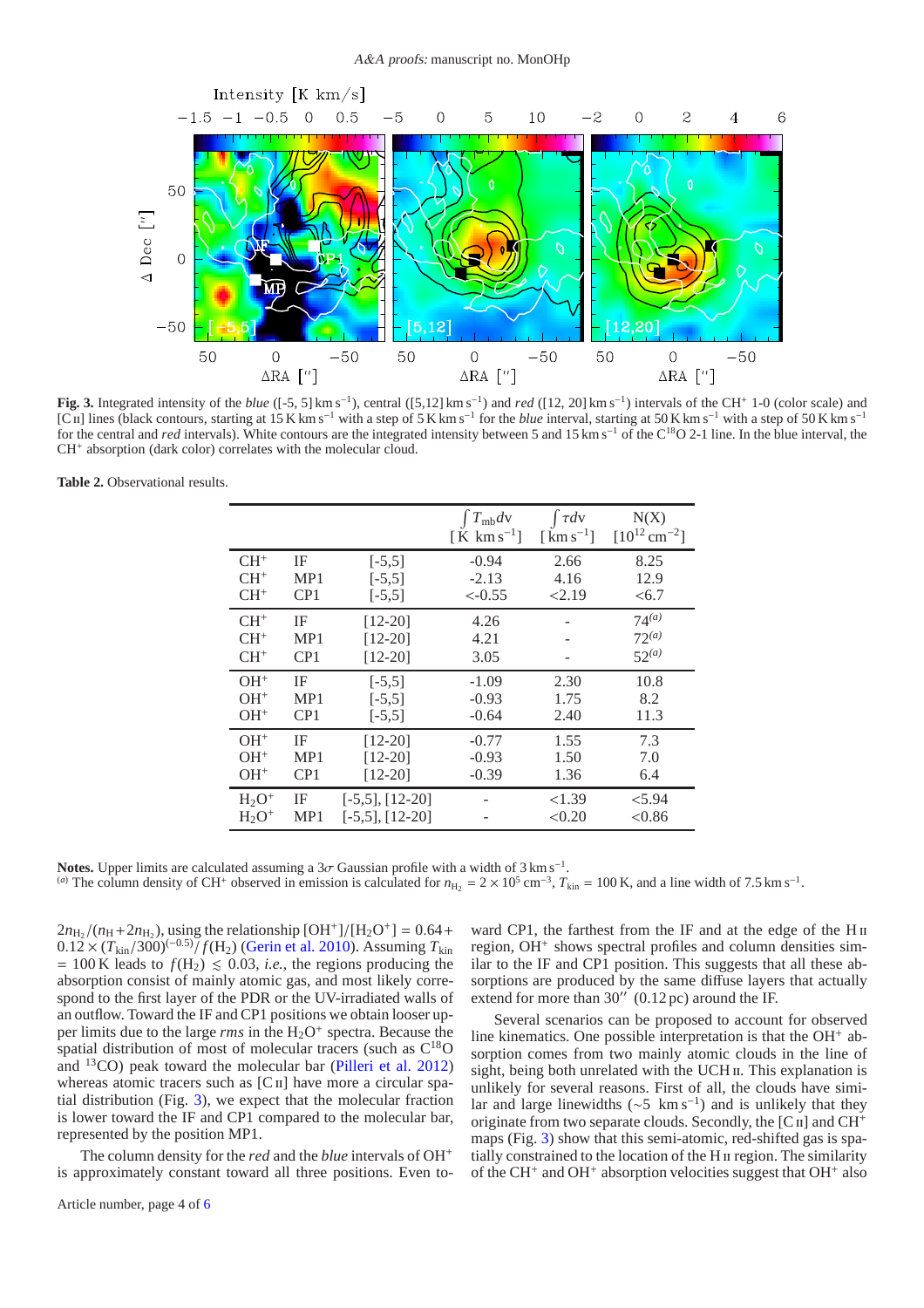

<span id="page-3-1"></span>**Fig. 3.** Integrated intensity of the *blue* ([-5, 5] km s<sup>-1</sup>), central ([5,12] km s<sup>-1</sup>) and *red* ([12, 20] km s<sup>-1</sup>) intervals of the CH<sup>+</sup> 1-0 (color scale) and [Cii] lines (black contours, starting at 15 K km s<sup>−</sup><sup>1</sup> with a step of 5 K km s<sup>−</sup><sup>1</sup> for the *blue* interval, starting at 50 K km s<sup>−</sup><sup>1</sup> with a step of 50 K km s<sup>−</sup><sup>1</sup> for the central and *red* intervals). White contours are the integrated intensity between 5 and 15 km s<sup>−1</sup> of the C<sup>18</sup>O 2-1 line. In the blue interval, the CH<sup>+</sup> absorption (dark color) correlates with the molecular cloud.

<span id="page-3-0"></span>**Table 2.** Observational results.

|          |                 |                      | $\int T_{\rm mb}dv$<br>[K km s <sup>-1</sup> ] | $\int \tau dv$<br>$\left[\mathrm{km}\,\mathrm{s}^{-1}\right]$ | N(X)<br>$[10^{12}$ cm <sup>-2</sup> ] |
|----------|-----------------|----------------------|------------------------------------------------|---------------------------------------------------------------|---------------------------------------|
| $CH+$    | ΙF              | $[-5,5]$             | $-0.94$                                        | 2.66                                                          | 8.25                                  |
| $CH+$    | MP1             | $[-5,5]$             | $-2.13$                                        | 4.16                                                          | 12.9                                  |
| $CH+$    | CP <sub>1</sub> | $[-5,5]$             | $<-0.55$                                       | 2.19                                                          | <6.7                                  |
| $CH+$    | IF              | $[12-20]$            | 4.26                                           |                                                               | $74^{(a)}$                            |
| $CH+$    | MP <sub>1</sub> | $[12-20]$            | 4.21                                           |                                                               | $72^{(a)}$                            |
| $CH+$    | CP <sub>1</sub> | $[12-20]$            | 3.05                                           |                                                               | $52^{(a)}$                            |
| $OH+$    | IF              | $[-5,5]$             | $-1.09$                                        | 2.30                                                          | 10.8                                  |
| $OH+$    | MP <sub>1</sub> | $[-5,5]$             | $-0.93$                                        | 1.75                                                          | 8.2                                   |
| $OH+$    | CP <sub>1</sub> | $[-5,5]$             | $-0.64$                                        | 2.40                                                          | 11.3                                  |
| $OH+$    | IF              | $[12-20]$            | $-0.77$                                        | 1.55                                                          | 7.3                                   |
| $OH+$    | MP1             | $[12-20]$            | $-0.93$                                        | 1.50                                                          | 7.0                                   |
| $OH+$    | CP <sub>1</sub> | $[12-20]$            | $-0.39$                                        | 1.36                                                          | 6.4                                   |
| $H_2O^+$ | IF              | $[-5,5]$ , $[12-20]$ |                                                | < 1.39                                                        | < 5.94                                |
| $H_2O^+$ | MP1             | $[-5,5]$ , $[12-20]$ |                                                | < 0.20                                                        | < 0.86                                |

Notes. Upper limits are calculated assuming a  $3\sigma$  Gaussian profile with a width of  $3 \text{ km s}^{-1}$ . (*a*) The column density of CH<sup>+</sup> observed in emission is calculated for  $n_{\text{H}_2} = 2 \times 10^5$  cm<sup>-3</sup>,  $T_{\text{kin}} = 100$  K, and a line width of 7.5 km s<sup>-1</sup>.

 $2n_{\text{H}_2}/(n_{\text{H}} + 2n_{\text{H}_2})$ , using the relationship  $\text{[OH}^+]/\text{[H}_2\text{O}^+] = 0.64 +$  $0.12 \times (T_{\text{kin}}/300)^{(-0.5)} / f(H_2)$  [\(Gerin et al. 2010\)](#page-5-26). Assuming  $T_{\text{kin}}$  $= 100$  K leads to  $f(H_2) \le 0.03$ , *i.e.*, the regions producing the absorption consist of mainly atomic gas, and most likely correspond to the first layer of the PDR or the UV-irradiated walls of an outflow. Toward the IF and CP1 positions we obtain looser upper limits due to the large *rms* in the H<sub>2</sub>O<sup>+</sup> spectra. Because the spatial distribution of most of molecular tracers (such as  $C^{18}O$ and  $^{13}CO$ ) peak toward the molecular bar [\(Pilleri et al. 2012\)](#page-5-6) whereas atomic tracers such as  $[C<sub>II</sub>]$  have more a circular spatial distribution (Fig. [3\)](#page-3-1), we expect that the molecular fraction is lower toward the IF and CP1 compared to the molecular bar, represented by the position MP1.

The column density for the *red* and the *blue* intervals of OH<sup>+</sup> is approximately constant toward all three positions. Even to-

ward CP1, the farthest from the IF and at the edge of the H<sub>II</sub> region, OH<sup>+</sup> shows spectral profiles and column densities similar to the IF and CP1 position. This suggests that all these absorptions are produced by the same diffuse layers that actually extend for more than  $30''$  (0.12 pc) around the IF.

Several scenarios can be proposed to account for observed line kinematics. One possible interpretation is that the  $OH<sup>+</sup>$  absorption comes from two mainly atomic clouds in the line of sight, being both unrelated with the UCH  $\scriptstyle\rm II.$  This explanation is unlikely for several reasons. First of all, the clouds have similar and large linewidths ( $\sim$ 5 km s<sup>-1</sup>) and is unlikely that they originate from two separate clouds. Secondly, the  $[C\,\pi]$  and  $CH^+$ maps (Fig. [3\)](#page-3-1) show that this semi-atomic, red-shifted gas is spatially constrained to the location of the H<sub>II</sub> region. The similarity of the CH<sup>+</sup> and OH<sup>+</sup> absorption velocities suggest that OH<sup>+</sup> also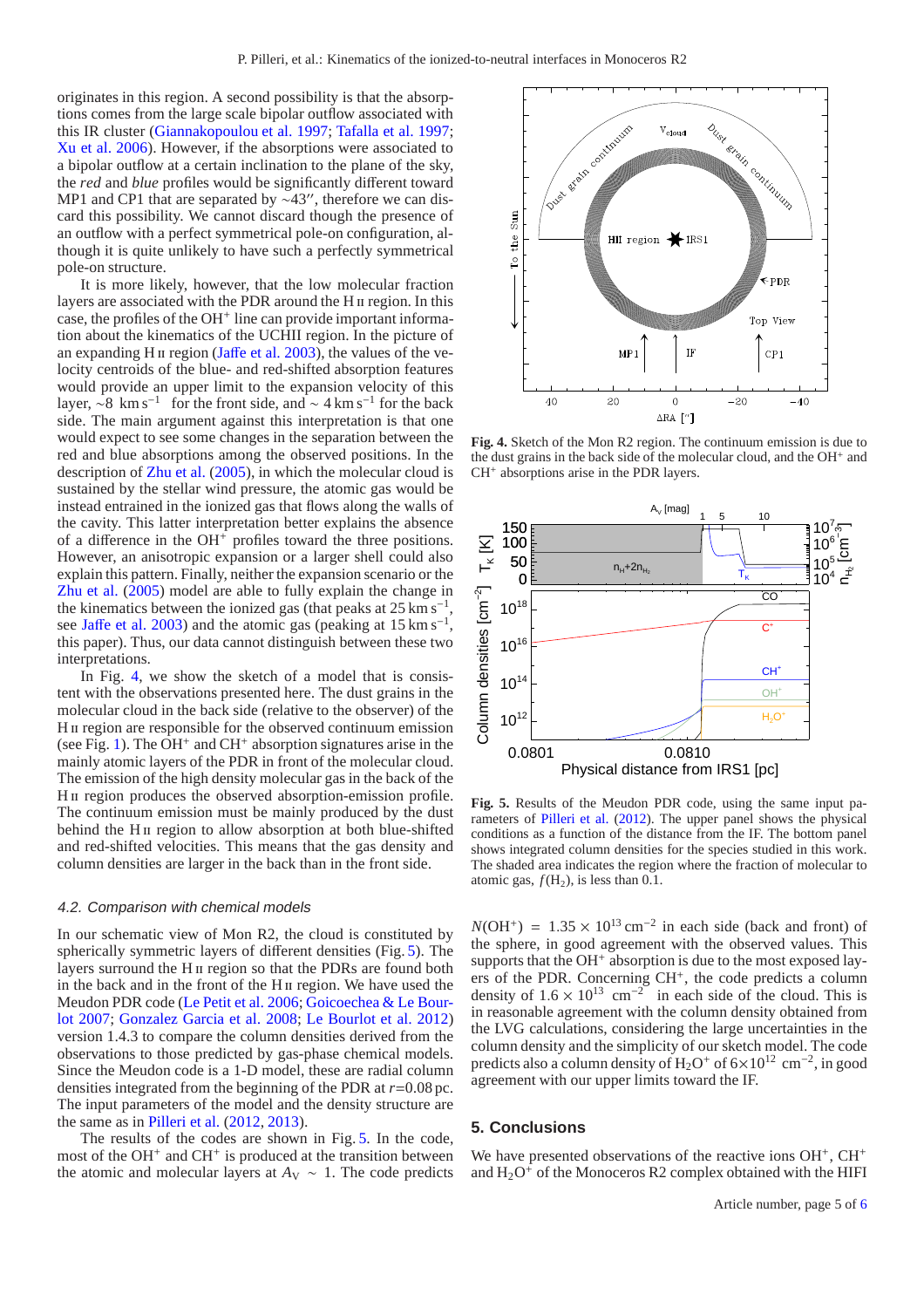originates in this region. A second possibility is that the absorptions comes from the large scale bipolar outflow associated with this IR cluster [\(Giannakopoulou et al. 1997](#page-5-7); [Tafalla et al. 1997](#page-5-27); [Xu et al. 2006](#page-5-28)). However, if the absorptions were associated to a bipolar outflow at a certain inclination to the plane of the sky, the *red* and *blue* profiles would be significantly different toward MP1 and CP1 that are separated by ∼43″, therefore we can discard this possibility. We cannot discard though the presence of an outflow with a perfect symmetrical pole-on configuration, although it is quite unlikely to have such a perfectly symmetrical pole-on structure.

It is more likely, however, that the low molecular fraction layers are associated with the PDR around the H<sub>II</sub> region. In this case, the profiles of the OH<sup>+</sup> line can provide important information about the kinematics of the UCHII region. In the picture of an expanding H  $\mu$  region (Jaff[e et al. 2003](#page-5-8)), the values of the velocity centroids of the blue- and red-shifted absorption features would provide an upper limit to the expansion velocity of this layer,  $\sim 8$  km s<sup>-1</sup> for the front side, and  $\sim 4$  km s<sup>-1</sup> for the back side. The main argument against this interpretation is that one would expect to see some changes in the separation between the red and blue absorptions among the observed positions. In the description of [Zhu et al.](#page-5-9) [\(2005](#page-5-9)), in which the molecular cloud is sustained by the stellar wind pressure, the atomic gas would be instead entrained in the ionized gas that flows along the walls of the cavity. This latter interpretation better explains the absence of a difference in the OH<sup>+</sup> profiles toward the three positions. However, an anisotropic expansion or a larger shell could also explain this pattern. Finally, neither the expansion scenario or the [Zhu et al.](#page-5-9) [\(2005\)](#page-5-9) model are able to fully explain the change in the kinematics between the ionized gas (that peaks at  $25 \text{ km s}^{-1}$ , see Jaff[e et al. 2003\)](#page-5-8) and the atomic gas (peaking at 15 km s<sup>-1</sup>, this paper). Thus, our data cannot distinguish between these two interpretations.

In Fig. [4,](#page-4-1) we show the sketch of a model that is consistent with the observations presented here. The dust grains in the molecular cloud in the back side (relative to the observer) of the H<sub>II</sub> region are responsible for the observed continuum emission (see Fig. [1\)](#page-1-1). The  $\tilde{OH}^+$  and  $CH^+$  absorption signatures arise in the mainly atomic layers of the PDR in front of the molecular cloud. The emission of the high density molecular gas in the back of the H<sub>II</sub> region produces the observed absorption-emission profile. The continuum emission must be mainly produced by the dust behind the H<sub>II</sub> region to allow absorption at both blue-shifted and red-shifted velocities. This means that the gas density and column densities are larger in the back than in the front side.

#### 4.2. Comparison with chemical models

In our schematic view of Mon R2, the cloud is constituted by spherically symmetric layers of different densities (Fig. [5\)](#page-4-2). The layers surround the H<sub>II</sub> region so that the PDRs are found both in the back and in the front of the H<sub>II</sub> region. We have used the M[eudon PDR code](#page-5-30) [\(Le Petit et al. 2006](#page-5-29)[;](#page-5-30) Goicoechea & Le Bourlot [2007;](#page-5-30) [Gonzalez Garcia et al. 2008;](#page-5-31) [Le Bourlot et al. 2012\)](#page-5-32) version 1.4.3 to compare the column densities derived from the observations to those predicted by gas-phase chemical models. Since the Meudon code is a 1-D model, these are radial column densities integrated from the beginning of the PDR at *r*=0.08 pc. The input parameters of the model and the density structure are the same as in [Pilleri et al.](#page-5-6) [\(2012,](#page-5-6) [2013\)](#page-5-3).

The results of the codes are shown in Fig. [5.](#page-4-2) In the code, most of the OH<sup>+</sup> and CH<sup>+</sup> is produced at the transition between the atomic and molecular layers at  $A_V \sim 1$ . The code predicts



<span id="page-4-1"></span>**Fig. 4.** Sketch of the Mon R2 region. The continuum emission is due to the dust grains in the back side of the molecular cloud, and the OH<sup>+</sup> and CH<sup>+</sup> absorptions arise in the PDR layers.



<span id="page-4-2"></span>**Fig. 5.** Results of the Meudon PDR code, using the same input parameters of [Pilleri et al.](#page-5-6) [\(2012](#page-5-6)). The upper panel shows the physical conditions as a function of the distance from the IF. The bottom panel shows integrated column densities for the species studied in this work. The shaded area indicates the region where the fraction of molecular to atomic gas,  $f(H_2)$ , is less than 0.1.

 $N(OH<sup>+</sup>) = 1.35 \times 10<sup>13</sup>$  cm<sup>-2</sup> in each side (back and front) of the sphere, in good agreement with the observed values. This supports that the  $OH<sup>+</sup>$  absorption is due to the most exposed layers of the PDR. Concerning CH<sup>+</sup>, the code predicts a column density of  $1.6 \times 10^{13}$  cm<sup>-2</sup> in each side of the cloud. This is in reasonable agreement with the column density obtained from the LVG calculations, considering the large uncertainties in the column density and the simplicity of our sketch model. The code predicts also a column density of  $H_2O^+$  of  $6\times10^{12}$  cm<sup>-2</sup>, in good agreement with our upper limits toward the IF.

## <span id="page-4-0"></span>**5. Conclusions**

We have presented observations of the reactive ions OH<sup>+</sup>, CH<sup>+</sup> and  $H_2O^+$  of the Monoceros R2 complex obtained with the HIFI